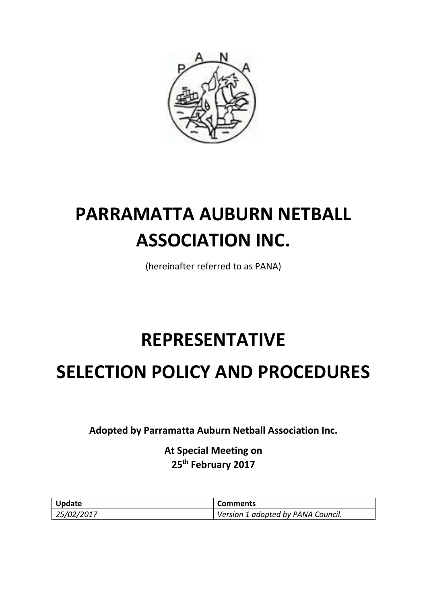

# **PARRAMATTA AUBURN NETBALL ASSOCIATION INC.**

(hereinafter referred to as PANA)

# **REPRESENTATIVE**

# **SELECTION POLICY AND PROCEDURES**

**Adopted by Parramatta Auburn Netball Association Inc.**

**At Special Meeting on 25th February 2017**

| <b>Update</b> | <b>Comments</b>                    |
|---------------|------------------------------------|
| 25/02/2017    | Version 1 adopted by PANA Council. |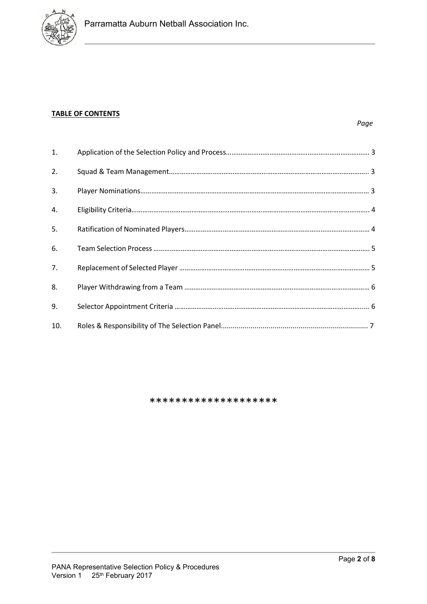

#### **TABLE OF CONTENTS**

| 1.  |  |
|-----|--|
| 2.  |  |
| 3.  |  |
| 4.  |  |
| 5.  |  |
| 6.  |  |
| 7.  |  |
| 8.  |  |
| 9.  |  |
| 10. |  |

\*\*\*\*\*\*\*\*\*\*\*\*\*\*\*\*\*\*\*\*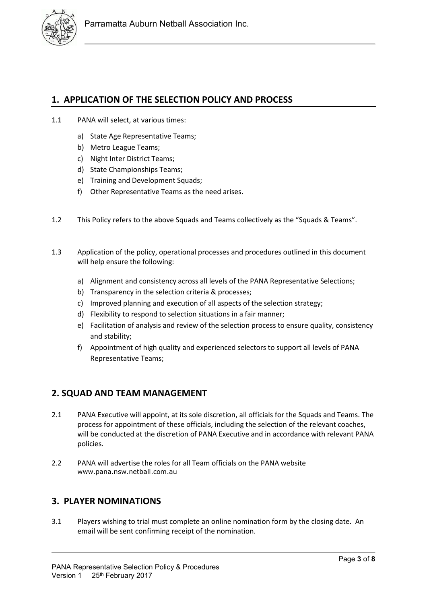

# **1. APPLICATION OF THE SELECTION POLICY AND PROCESS**

- 1.1 PANA will select, at various times:
	- a) State Age Representative Teams;
	- b) Metro League Teams;
	- c) Night Inter District Teams;
	- d) State Championships Teams;
	- e) Training and Development Squads;
	- f) Other Representative Teams as the need arises.
- 1.2 This Policy refers to the above Squads and Teams collectively as the "Squads & Teams".
- 1.3 Application of the policy, operational processes and procedures outlined in this document will help ensure the following:
	- a) Alignment and consistency across all levels of the PANA Representative Selections;
	- b) Transparency in the selection criteria & processes;
	- c) Improved planning and execution of all aspects of the selection strategy;
	- d) Flexibility to respond to selection situations in a fair manner;
	- e) Facilitation of analysis and review of the selection process to ensure quality, consistency and stability;
	- f) Appointment of high quality and experienced selectors to support all levels of PANA Representative Teams;

#### **2. SQUAD AND TEAM MANAGEMENT**

- 2.1 PANA Executive will appoint, at its sole discretion, all officials for the Squads and Teams. The process for appointment of these officials, including the selection of the relevant coaches, will be conducted at the discretion of PANA Executive and in accordance with relevant PANA policies.
- 2.2 PANA will advertise the roles for all Team officials on the PANA website www.pana.nsw.netball.com.au

# **3. PLAYER NOMINATIONS**

3.1 Players wishing to trial must complete an online nomination form by the closing date. An email will be sent confirming receipt of the nomination.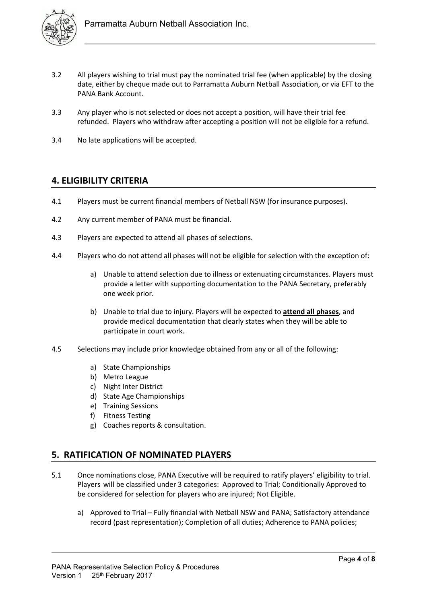

- 3.2 All players wishing to trial must pay the nominated trial fee (when applicable) by the closing date, either by cheque made out to Parramatta Auburn Netball Association, or via EFT to the PANA Bank Account.
- 3.3 Any player who is not selected or does not accept a position, will have their trial fee refunded. Players who withdraw after accepting a position will not be eligible for a refund.
- 3.4 No late applications will be accepted.

#### **4. ELIGIBILITY CRITERIA**

- 4.1 Players must be current financial members of Netball NSW (for insurance purposes).
- 4.2 Any current member of PANA must be financial.
- 4.3 Players are expected to attend all phases of selections.
- 4.4 Players who do not attend all phases will not be eligible for selection with the exception of:
	- a) Unable to attend selection due to illness or extenuating circumstances. Players must provide a letter with supporting documentation to the PANA Secretary, preferably one week prior.
	- b) Unable to trial due to injury. Players will be expected to **attend all phases**, and provide medical documentation that clearly states when they will be able to participate in court work.
- 4.5 Selections may include prior knowledge obtained from any or all of the following:
	- a) State Championships
	- b) Metro League
	- c) Night Inter District
	- d) State Age Championships
	- e) Training Sessions
	- f) Fitness Testing
	- g) Coaches reports & consultation.

# **5. RATIFICATION OF NOMINATED PLAYERS**

- 5.1 Once nominations close, PANA Executive will be required to ratify players' eligibility to trial. Players will be classified under 3 categories: Approved to Trial; Conditionally Approved to be considered for selection for players who are injured; Not Eligible.
	- a) Approved to Trial Fully financial with Netball NSW and PANA; Satisfactory attendance record (past representation); Completion of all duties; Adherence to PANA policies;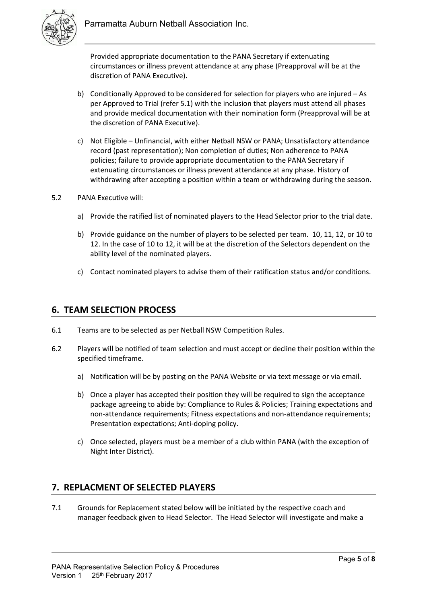

Provided appropriate documentation to the PANA Secretary if extenuating circumstances or illness prevent attendance at any phase (Preapproval will be at the discretion of PANA Executive).

- b) Conditionally Approved to be considered for selection for players who are injured As per Approved to Trial (refer 5.1) with the inclusion that players must attend all phases and provide medical documentation with their nomination form (Preapproval will be at the discretion of PANA Executive).
- c) Not Eligible Unfinancial, with either Netball NSW or PANA; Unsatisfactory attendance record (past representation); Non completion of duties; Non adherence to PANA policies; failure to provide appropriate documentation to the PANA Secretary if extenuating circumstances or illness prevent attendance at any phase. History of withdrawing after accepting a position within a team or withdrawing during the season.
- 5.2 PANA Executive will:
	- a) Provide the ratified list of nominated players to the Head Selector prior to the trial date.
	- b) Provide guidance on the number of players to be selected per team. 10, 11, 12, or 10 to 12. In the case of 10 to 12, it will be at the discretion of the Selectors dependent on the ability level of the nominated players.
	- c) Contact nominated players to advise them of their ratification status and/or conditions.

#### **6. TEAM SELECTION PROCESS**

- 6.1 Teams are to be selected as per Netball NSW Competition Rules.
- 6.2 Players will be notified of team selection and must accept or decline their position within the specified timeframe.
	- a) Notification will be by posting on the PANA Website or via text message or via email.
	- b) Once a player has accepted their position they will be required to sign the acceptance package agreeing to abide by: Compliance to Rules & Policies; Training expectations and non-attendance requirements; Fitness expectations and non-attendance requirements; Presentation expectations; Anti-doping policy.
	- c) Once selected, players must be a member of a club within PANA (with the exception of Night Inter District).

# **7. REPLACMENT OF SELECTED PLAYERS**

7.1 Grounds for Replacement stated below will be initiated by the respective coach and manager feedback given to Head Selector. The Head Selector will investigate and make a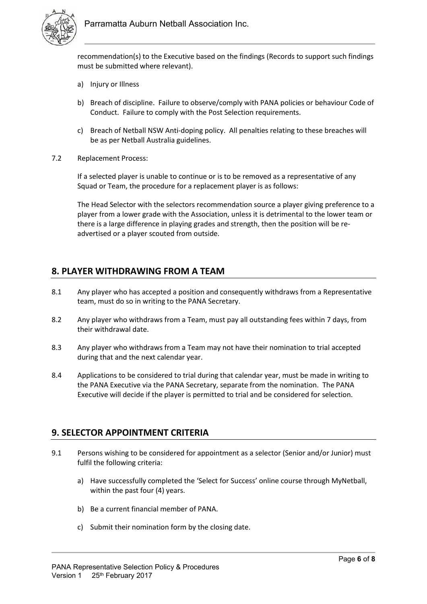

recommendation(s) to the Executive based on the findings (Records to support such findings must be submitted where relevant).

- a) Injury or Illness
- b) Breach of discipline. Failure to observe/comply with PANA policies or behaviour Code of Conduct. Failure to comply with the Post Selection requirements.
- c) Breach of Netball NSW Anti-doping policy. All penalties relating to these breaches will be as per Netball Australia guidelines.
- 7.2 Replacement Process:

If a selected player is unable to continue or is to be removed as a representative of any Squad or Team, the procedure for a replacement player is as follows:

The Head Selector with the selectors recommendation source a player giving preference to a player from a lower grade with the Association, unless it is detrimental to the lower team or there is a large difference in playing grades and strength, then the position will be readvertised or a player scouted from outside.

# **8. PLAYER WITHDRAWING FROM A TEAM**

- 8.1 Any player who has accepted a position and consequently withdraws from a Representative team, must do so in writing to the PANA Secretary.
- 8.2 Any player who withdraws from a Team, must pay all outstanding fees within 7 days, from their withdrawal date.
- 8.3 Any player who withdraws from a Team may not have their nomination to trial accepted during that and the next calendar year.
- 8.4 Applications to be considered to trial during that calendar year, must be made in writing to the PANA Executive via the PANA Secretary, separate from the nomination. The PANA Executive will decide if the player is permitted to trial and be considered for selection.

# **9. SELECTOR APPOINTMENT CRITERIA**

- 9.1 Persons wishing to be considered for appointment as a selector (Senior and/or Junior) must fulfil the following criteria:
	- a) Have successfully completed the 'Select for Success' online course through MyNetball, within the past four (4) years.
	- b) Be a current financial member of PANA.
	- c) Submit their nomination form by the closing date.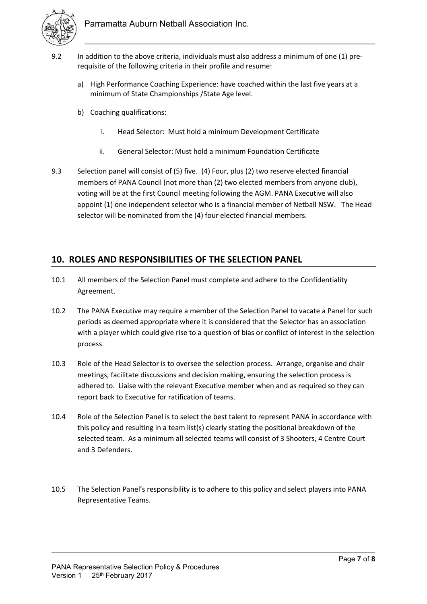

- 9.2 In addition to the above criteria, individuals must also address a minimum of one (1) prerequisite of the following criteria in their profile and resume:
	- a) High Performance Coaching Experience: have coached within the last five years at a minimum of State Championships /State Age level.
	- b) Coaching qualifications:
		- i. Head Selector: Must hold a minimum Development Certificate
		- ii. General Selector: Must hold a minimum Foundation Certificate
- 9.3 Selection panel will consist of (5) five. (4) Four, plus (2) two reserve elected financial members of PANA Council (not more than (2) two elected members from anyone club), voting will be at the first Council meeting following the AGM. PANA Executive will also appoint (1) one independent selector who is a financial member of Netball NSW. The Head selector will be nominated from the (4) four elected financial members.

# **10. ROLES AND RESPONSIBILITIES OF THE SELECTION PANEL**

- 10.1 All members of the Selection Panel must complete and adhere to the Confidentiality Agreement.
- 10.2 The PANA Executive may require a member of the Selection Panel to vacate a Panel for such periods as deemed appropriate where it is considered that the Selector has an association with a player which could give rise to a question of bias or conflict of interest in the selection process.
- 10.3 Role of the Head Selector is to oversee the selection process. Arrange, organise and chair meetings, facilitate discussions and decision making, ensuring the selection process is adhered to. Liaise with the relevant Executive member when and as required so they can report back to Executive for ratification of teams.
- 10.4 Role of the Selection Panel is to select the best talent to represent PANA in accordance with this policy and resulting in a team list(s) clearly stating the positional breakdown of the selected team. As a minimum all selected teams will consist of 3 Shooters, 4 Centre Court and 3 Defenders.
- 10.5 The Selection Panel's responsibility is to adhere to this policy and select players into PANA Representative Teams.